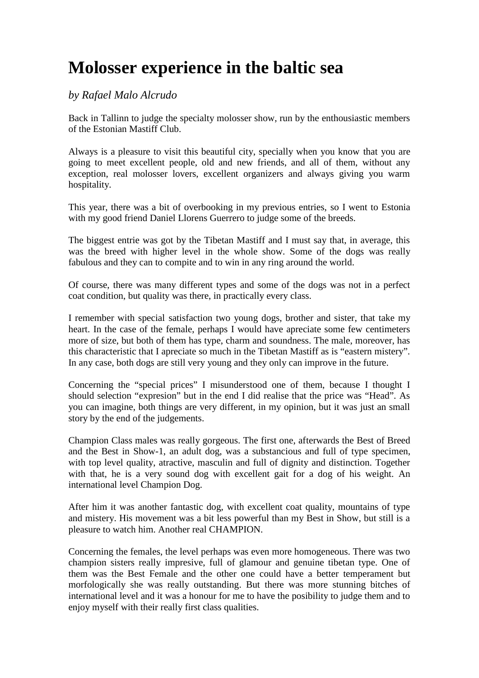## **Molosser experience in the baltic sea**

## *by Rafael Malo Alcrudo*

Back in Tallinn to judge the specialty molosser show, run by the enthousiastic members of the Estonian Mastiff Club.

Always is a pleasure to visit this beautiful city, specially when you know that you are going to meet excellent people, old and new friends, and all of them, without any exception, real molosser lovers, excellent organizers and always giving you warm hospitality.

This year, there was a bit of overbooking in my previous entries, so I went to Estonia with my good friend Daniel Llorens Guerrero to judge some of the breeds.

The biggest entrie was got by the Tibetan Mastiff and I must say that, in average, this was the breed with higher level in the whole show. Some of the dogs was really fabulous and they can to compite and to win in any ring around the world.

Of course, there was many different types and some of the dogs was not in a perfect coat condition, but quality was there, in practically every class.

I remember with special satisfaction two young dogs, brother and sister, that take my heart. In the case of the female, perhaps I would have apreciate some few centimeters more of size, but both of them has type, charm and soundness. The male, moreover, has this characteristic that I apreciate so much in the Tibetan Mastiff as is "eastern mistery". In any case, both dogs are still very young and they only can improve in the future.

Concerning the "special prices" I misunderstood one of them, because I thought I should selection "expresion" but in the end I did realise that the price was "Head". As you can imagine, both things are very different, in my opinion, but it was just an small story by the end of the judgements.

Champion Class males was really gorgeous. The first one, afterwards the Best of Breed and the Best in Show-1, an adult dog, was a substancious and full of type specimen, with top level quality, atractive, masculin and full of dignity and distinction. Together with that, he is a very sound dog with excellent gait for a dog of his weight. An international level Champion Dog.

After him it was another fantastic dog, with excellent coat quality, mountains of type and mistery. His movement was a bit less powerful than my Best in Show, but still is a pleasure to watch him. Another real CHAMPION.

Concerning the females, the level perhaps was even more homogeneous. There was two champion sisters really impresive, full of glamour and genuine tibetan type. One of them was the Best Female and the other one could have a better temperament but morfologically she was really outstanding. But there was more stunning bitches of international level and it was a honour for me to have the posibility to judge them and to enjoy myself with their really first class qualities.